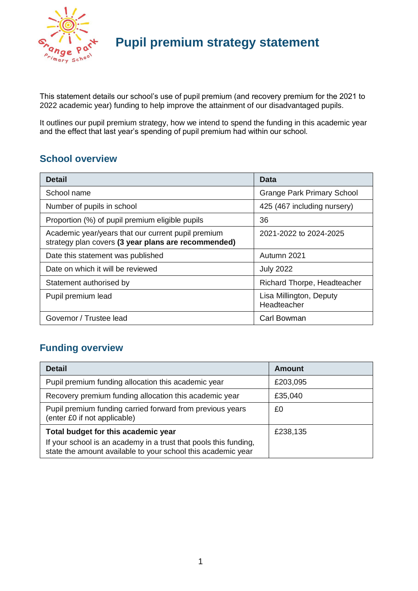

This statement details our school's use of pupil premium (and recovery premium for the 2021 to 2022 academic year) funding to help improve the attainment of our disadvantaged pupils.

It outlines our pupil premium strategy, how we intend to spend the funding in this academic year and the effect that last year's spending of pupil premium had within our school.

### **School overview**

| <b>Detail</b>                                                                                             | Data                                   |
|-----------------------------------------------------------------------------------------------------------|----------------------------------------|
| School name                                                                                               | <b>Grange Park Primary School</b>      |
| Number of pupils in school                                                                                | 425 (467 including nursery)            |
| Proportion (%) of pupil premium eligible pupils                                                           | 36                                     |
| Academic year/years that our current pupil premium<br>strategy plan covers (3 year plans are recommended) | 2021-2022 to 2024-2025                 |
| Date this statement was published                                                                         | Autumn 2021                            |
| Date on which it will be reviewed                                                                         | <b>July 2022</b>                       |
| Statement authorised by                                                                                   | Richard Thorpe, Headteacher            |
| Pupil premium lead                                                                                        | Lisa Millington, Deputy<br>Headteacher |
| Governor / Trustee lead                                                                                   | Carl Bowman                            |

### **Funding overview**

| <b>Detail</b>                                                                                                                                                           | Amount   |
|-------------------------------------------------------------------------------------------------------------------------------------------------------------------------|----------|
| Pupil premium funding allocation this academic year                                                                                                                     | £203,095 |
| Recovery premium funding allocation this academic year                                                                                                                  | £35,040  |
| Pupil premium funding carried forward from previous years<br>(enter £0 if not applicable)                                                                               | £0       |
| Total budget for this academic year<br>If your school is an academy in a trust that pools this funding,<br>state the amount available to your school this academic year | £238,135 |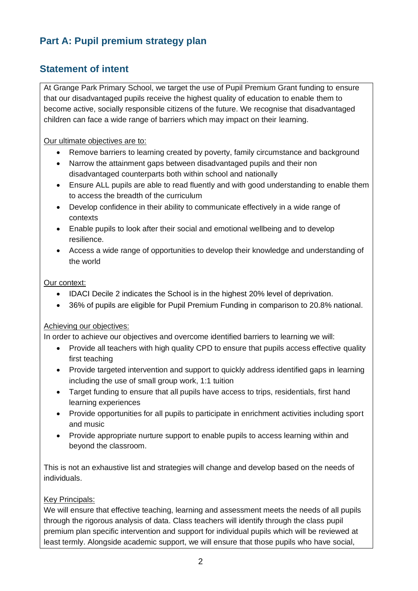### **Part A: Pupil premium strategy plan**

### **Statement of intent**

At Grange Park Primary School, we target the use of Pupil Premium Grant funding to ensure that our disadvantaged pupils receive the highest quality of education to enable them to become active, socially responsible citizens of the future. We recognise that disadvantaged children can face a wide range of barriers which may impact on their learning.

Our ultimate objectives are to:

- Remove barriers to learning created by poverty, family circumstance and background
- Narrow the attainment gaps between disadvantaged pupils and their non disadvantaged counterparts both within school and nationally
- Ensure ALL pupils are able to read fluently and with good understanding to enable them to access the breadth of the curriculum
- Develop confidence in their ability to communicate effectively in a wide range of contexts
- Enable pupils to look after their social and emotional wellbeing and to develop resilience.
- Access a wide range of opportunities to develop their knowledge and understanding of the world

#### Our context:

- IDACI Decile 2 indicates the School is in the highest 20% level of deprivation.
- 36% of pupils are eligible for Pupil Premium Funding in comparison to 20.8% national.

#### Achieving our objectives:

In order to achieve our objectives and overcome identified barriers to learning we will:

- Provide all teachers with high quality CPD to ensure that pupils access effective quality first teaching
- Provide targeted intervention and support to quickly address identified gaps in learning including the use of small group work, 1:1 tuition
- Target funding to ensure that all pupils have access to trips, residentials, first hand learning experiences
- Provide opportunities for all pupils to participate in enrichment activities including sport and music
- Provide appropriate nurture support to enable pupils to access learning within and beyond the classroom.

This is not an exhaustive list and strategies will change and develop based on the needs of individuals.

#### Key Principals:

We will ensure that effective teaching, learning and assessment meets the needs of all pupils through the rigorous analysis of data. Class teachers will identify through the class pupil premium plan specific intervention and support for individual pupils which will be reviewed at least termly. Alongside academic support, we will ensure that those pupils who have social,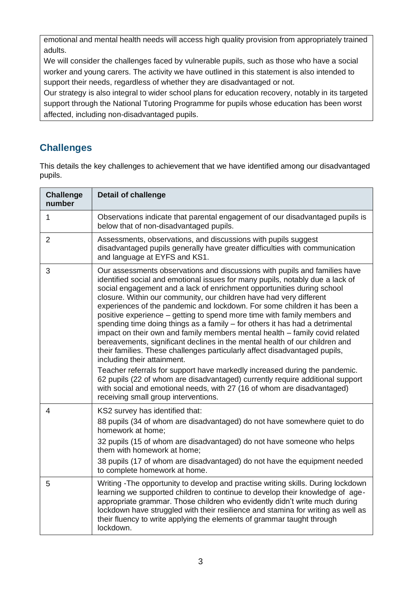emotional and mental health needs will access high quality provision from appropriately trained adults.

We will consider the challenges faced by vulnerable pupils, such as those who have a social worker and young carers. The activity we have outlined in this statement is also intended to support their needs, regardless of whether they are disadvantaged or not.

Our strategy is also integral to wider school plans for education recovery, notably in its targeted support through the National Tutoring Programme for pupils whose education has been worst affected, including non-disadvantaged pupils.

### **Challenges**

This details the key challenges to achievement that we have identified among our disadvantaged pupils.

| <b>Challenge</b><br>number | <b>Detail of challenge</b>                                                                                                                                                                                                                                                                                                                                                                                                                                                                                                                                                                                                                                                                                                                                                                                                                                                                                                                                                                      |
|----------------------------|-------------------------------------------------------------------------------------------------------------------------------------------------------------------------------------------------------------------------------------------------------------------------------------------------------------------------------------------------------------------------------------------------------------------------------------------------------------------------------------------------------------------------------------------------------------------------------------------------------------------------------------------------------------------------------------------------------------------------------------------------------------------------------------------------------------------------------------------------------------------------------------------------------------------------------------------------------------------------------------------------|
| $\mathbf{1}$               | Observations indicate that parental engagement of our disadvantaged pupils is<br>below that of non-disadvantaged pupils.                                                                                                                                                                                                                                                                                                                                                                                                                                                                                                                                                                                                                                                                                                                                                                                                                                                                        |
| $\overline{2}$             | Assessments, observations, and discussions with pupils suggest<br>disadvantaged pupils generally have greater difficulties with communication<br>and language at EYFS and KS1.                                                                                                                                                                                                                                                                                                                                                                                                                                                                                                                                                                                                                                                                                                                                                                                                                  |
| 3                          | Our assessments observations and discussions with pupils and families have<br>identified social and emotional issues for many pupils, notably due a lack of<br>social engagement and a lack of enrichment opportunities during school<br>closure. Within our community, our children have had very different<br>experiences of the pandemic and lockdown. For some children it has been a<br>positive experience – getting to spend more time with family members and<br>spending time doing things as a family - for others it has had a detrimental<br>impact on their own and family members mental health - family covid related<br>bereavements, significant declines in the mental health of our children and<br>their families. These challenges particularly affect disadvantaged pupils,<br>including their attainment.<br>Teacher referrals for support have markedly increased during the pandemic.<br>62 pupils (22 of whom are disadvantaged) currently require additional support |
|                            | with social and emotional needs, with 27 (16 of whom are disadvantaged)<br>receiving small group interventions.                                                                                                                                                                                                                                                                                                                                                                                                                                                                                                                                                                                                                                                                                                                                                                                                                                                                                 |
| 4                          | KS2 survey has identified that:<br>88 pupils (34 of whom are disadvantaged) do not have somewhere quiet to do<br>homework at home;<br>32 pupils (15 of whom are disadvantaged) do not have someone who helps                                                                                                                                                                                                                                                                                                                                                                                                                                                                                                                                                                                                                                                                                                                                                                                    |
|                            | them with homework at home;<br>38 pupils (17 of whom are disadvantaged) do not have the equipment needed<br>to complete homework at home.                                                                                                                                                                                                                                                                                                                                                                                                                                                                                                                                                                                                                                                                                                                                                                                                                                                       |
| 5                          | Writing -The opportunity to develop and practise writing skills. During lockdown<br>learning we supported children to continue to develop their knowledge of age-<br>appropriate grammar. Those children who evidently didn't write much during<br>lockdown have struggled with their resilience and stamina for writing as well as<br>their fluency to write applying the elements of grammar taught through<br>lockdown.                                                                                                                                                                                                                                                                                                                                                                                                                                                                                                                                                                      |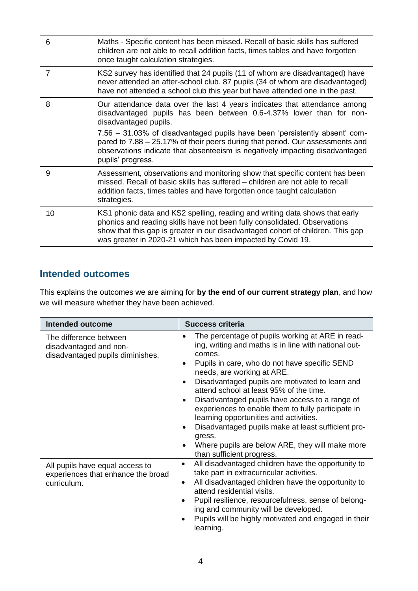| 6  | Maths - Specific content has been missed. Recall of basic skills has suffered<br>children are not able to recall addition facts, times tables and have forgotten<br>once taught calculation strategies.                                                                                                    |
|----|------------------------------------------------------------------------------------------------------------------------------------------------------------------------------------------------------------------------------------------------------------------------------------------------------------|
| 7  | KS2 survey has identified that 24 pupils (11 of whom are disadvantaged) have<br>never attended an after-school club. 87 pupils (34 of whom are disadvantaged)<br>have not attended a school club this year but have attended one in the past.                                                              |
| 8  | Our attendance data over the last 4 years indicates that attendance among<br>disadvantaged pupils has been between 0.6-4.37% lower than for non-<br>disadvantaged pupils.                                                                                                                                  |
|    | 7.56 - 31.03% of disadvantaged pupils have been 'persistently absent' com-<br>pared to 7.88 - 25.17% of their peers during that period. Our assessments and<br>observations indicate that absenteeism is negatively impacting disadvantaged<br>pupils' progress.                                           |
| 9  | Assessment, observations and monitoring show that specific content has been<br>missed. Recall of basic skills has suffered – children are not able to recall<br>addition facts, times tables and have forgotten once taught calculation<br>strategies.                                                     |
| 10 | KS1 phonic data and KS2 spelling, reading and writing data shows that early<br>phonics and reading skills have not been fully consolidated. Observations<br>show that this gap is greater in our disadvantaged cohort of children. This gap<br>was greater in 2020-21 which has been impacted by Covid 19. |

### **Intended outcomes**

This explains the outcomes we are aiming for **by the end of our current strategy plan**, and how we will measure whether they have been achieved.

| <b>Intended outcome</b>                                                              | Success criteria                                                                                                                                                                                                                                                                                                                                                                                                                                                                                                                                                                                                                                                                |  |
|--------------------------------------------------------------------------------------|---------------------------------------------------------------------------------------------------------------------------------------------------------------------------------------------------------------------------------------------------------------------------------------------------------------------------------------------------------------------------------------------------------------------------------------------------------------------------------------------------------------------------------------------------------------------------------------------------------------------------------------------------------------------------------|--|
| The difference between<br>disadvantaged and non-<br>disadvantaged pupils diminishes. | The percentage of pupils working at ARE in read-<br>$\bullet$<br>ing, writing and maths is in line with national out-<br>comes.<br>Pupils in care, who do not have specific SEND<br>$\bullet$<br>needs, are working at ARE.<br>Disadvantaged pupils are motivated to learn and<br>$\bullet$<br>attend school at least 95% of the time.<br>Disadvantaged pupils have access to a range of<br>$\bullet$<br>experiences to enable them to fully participate in<br>learning opportunities and activities.<br>Disadvantaged pupils make at least sufficient pro-<br>$\bullet$<br>gress.<br>Where pupils are below ARE, they will make more<br>$\bullet$<br>than sufficient progress. |  |
| All pupils have equal access to<br>experiences that enhance the broad<br>curriculum. | All disadvantaged children have the opportunity to<br>$\bullet$<br>take part in extracurricular activities.<br>All disadvantaged children have the opportunity to<br>$\bullet$<br>attend residential visits.<br>Pupil resilience, resourcefulness, sense of belong-<br>$\bullet$<br>ing and community will be developed.<br>Pupils will be highly motivated and engaged in their<br>learning.                                                                                                                                                                                                                                                                                   |  |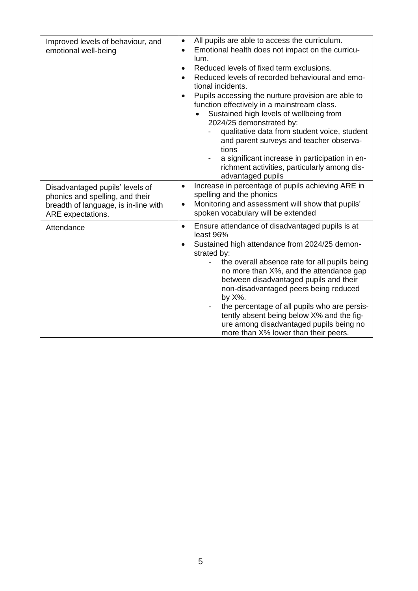| Improved levels of behaviour, and<br>emotional well-being | All pupils are able to access the curriculum.<br>٠<br>Emotional health does not impact on the curricu-<br>$\bullet$<br>lum.<br>Reduced levels of fixed term exclusions.<br>$\bullet$<br>Reduced levels of recorded behavioural and emo-<br>tional incidents.<br>Pupils accessing the nurture provision are able to<br>$\bullet$<br>function effectively in a mainstream class.<br>Sustained high levels of wellbeing from<br>2024/25 demonstrated by:<br>qualitative data from student voice, student<br>and parent surveys and teacher observa-<br>tions<br>a significant increase in participation in en-<br>richment activities, particularly among dis-<br>advantaged pupils |
|-----------------------------------------------------------|----------------------------------------------------------------------------------------------------------------------------------------------------------------------------------------------------------------------------------------------------------------------------------------------------------------------------------------------------------------------------------------------------------------------------------------------------------------------------------------------------------------------------------------------------------------------------------------------------------------------------------------------------------------------------------|
| Disadvantaged pupils' levels of                           | Increase in percentage of pupils achieving ARE in<br>$\bullet$                                                                                                                                                                                                                                                                                                                                                                                                                                                                                                                                                                                                                   |
| phonics and spelling, and their                           | spelling and the phonics<br>Monitoring and assessment will show that pupils'                                                                                                                                                                                                                                                                                                                                                                                                                                                                                                                                                                                                     |
| breadth of language, is in-line with<br>ARE expectations. | $\bullet$<br>spoken vocabulary will be extended                                                                                                                                                                                                                                                                                                                                                                                                                                                                                                                                                                                                                                  |
| Attendance                                                | Ensure attendance of disadvantaged pupils is at<br>$\bullet$<br>least 96%                                                                                                                                                                                                                                                                                                                                                                                                                                                                                                                                                                                                        |
|                                                           | Sustained high attendance from 2024/25 demon-                                                                                                                                                                                                                                                                                                                                                                                                                                                                                                                                                                                                                                    |
|                                                           | strated by:<br>the overall absence rate for all pupils being                                                                                                                                                                                                                                                                                                                                                                                                                                                                                                                                                                                                                     |
|                                                           | no more than X%, and the attendance gap<br>between disadvantaged pupils and their<br>non-disadvantaged peers being reduced<br>by X%.                                                                                                                                                                                                                                                                                                                                                                                                                                                                                                                                             |
|                                                           | the percentage of all pupils who are persis-<br>tently absent being below X% and the fig-<br>ure among disadvantaged pupils being no<br>more than X% lower than their peers.                                                                                                                                                                                                                                                                                                                                                                                                                                                                                                     |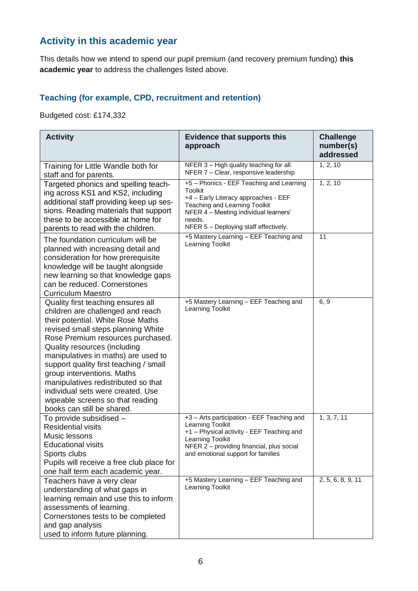### **Activity in this academic year**

This details how we intend to spend our pupil premium (and recovery premium funding) **this academic year** to address the challenges listed above.

#### **Teaching (for example, CPD, recruitment and retention)**

Budgeted cost: £174,332

| <b>Activity</b>                                                                                                                                                                                                                                                                                                                                                                                                                                                                      | <b>Evidence that supports this</b><br>approach                                                                                                                                                                                         | <b>Challenge</b><br>number(s)<br>addressed |
|--------------------------------------------------------------------------------------------------------------------------------------------------------------------------------------------------------------------------------------------------------------------------------------------------------------------------------------------------------------------------------------------------------------------------------------------------------------------------------------|----------------------------------------------------------------------------------------------------------------------------------------------------------------------------------------------------------------------------------------|--------------------------------------------|
| Training for Little Wandle both for<br>staff and for parents.                                                                                                                                                                                                                                                                                                                                                                                                                        | NFER 3 - High quality teaching for all.<br>NFER 7 - Clear, responsive leadership                                                                                                                                                       | 1, 2, 10                                   |
| Targeted phonics and spelling teach-<br>ing across KS1 and KS2, including<br>additional staff providing keep up ses-<br>sions. Reading materials that support<br>these to be accessible at home for<br>parents to read with the children.                                                                                                                                                                                                                                            | +5 - Phonics - EEF Teaching and Learning<br><b>Toolkit</b><br>+4 - Early Literacy approaches - EEF<br><b>Teaching and Learning Toolkit</b><br>NFER 4 - Meeting individual learners'<br>needs.<br>NFER 5 - Deploying staff effectively. | 1, 2, 10                                   |
| The foundation curriculum will be<br>planned with increasing detail and<br>consideration for how prerequisite<br>knowledge will be taught alongside<br>new learning so that knowledge gaps<br>can be reduced. Cornerstones<br><b>Curriculum Maestro</b>                                                                                                                                                                                                                              | +5 Mastery Learning - EEF Teaching and<br>Learning Toolkit                                                                                                                                                                             | 11                                         |
| Quality first teaching ensures all<br>children are challenged and reach<br>their potential. White Rose Maths<br>revised small steps planning White<br>Rose Premium resources purchased.<br>Quality resources (including<br>manipulatives in maths) are used to<br>support quality first teaching / small<br>group interventions. Maths<br>manipulatives redistributed so that<br>individual sets were created. Use<br>wipeable screens so that reading<br>books can still be shared. | +5 Mastery Learning - EEF Teaching and<br>Learning Toolkit                                                                                                                                                                             | 6, 9                                       |
| To provide subsidised -<br><b>Residential visits</b><br>Music lessons<br><b>Educational visits</b><br>Sports clubs<br>Pupils will receive a free club place for<br>one half term each academic year.                                                                                                                                                                                                                                                                                 | +3 - Arts participation - EEF Teaching and<br>Learning Toolkit<br>+1 - Physical activity - EEF Teaching and<br>Learning Toolkit<br>NFER 2 - providing financial, plus social<br>and emotional support for families                     | 1, 3, 7, 11                                |
| Teachers have a very clear<br>understanding of what gaps in<br>learning remain and use this to inform<br>assessments of learning.<br>Cornerstones tests to be completed<br>and gap analysis<br>used to inform future planning.                                                                                                                                                                                                                                                       | +5 Mastery Learning - EEF Teaching and<br>Learning Toolkit                                                                                                                                                                             | 2, 5, 6, 8, 9, 11                          |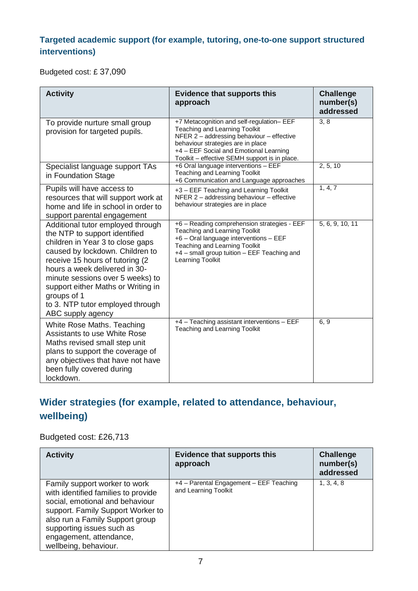#### **Targeted academic support (for example, tutoring, one-to-one support structured interventions)**

Budgeted cost: £ 37,090

| <b>Activity</b>                                                                                                                                                                                                                                                                                                                                                  | <b>Evidence that supports this</b><br>approach                                                                                                                                                                                                          | <b>Challenge</b><br>number(s)<br>addressed |
|------------------------------------------------------------------------------------------------------------------------------------------------------------------------------------------------------------------------------------------------------------------------------------------------------------------------------------------------------------------|---------------------------------------------------------------------------------------------------------------------------------------------------------------------------------------------------------------------------------------------------------|--------------------------------------------|
| To provide nurture small group<br>provision for targeted pupils.                                                                                                                                                                                                                                                                                                 | +7 Metacognition and self-regulation- EEF<br>Teaching and Learning Toolkit<br>NFER 2 - addressing behaviour - effective<br>behaviour strategies are in place<br>+4 - EEF Social and Emotional Learning<br>Toolkit - effective SEMH support is in place. | 3, 8                                       |
| Specialist language support TAs<br>in Foundation Stage                                                                                                                                                                                                                                                                                                           | +6 Oral language interventions - EEF<br>Teaching and Learning Toolkit<br>+6 Communication and Language approaches                                                                                                                                       | 2, 5, 10                                   |
| Pupils will have access to<br>resources that will support work at<br>home and life in school in order to<br>support parental engagement                                                                                                                                                                                                                          | +3 - EEF Teaching and Learning Toolkit<br>NFER 2 - addressing behaviour - effective<br>behaviour strategies are in place                                                                                                                                | 1, 4, 7                                    |
| Additional tutor employed through<br>the NTP to support identified<br>children in Year 3 to close gaps<br>caused by lockdown. Children to<br>receive 15 hours of tutoring (2)<br>hours a week delivered in 30-<br>minute sessions over 5 weeks) to<br>support either Maths or Writing in<br>groups of 1<br>to 3. NTP tutor employed through<br>ABC supply agency | +6 - Reading comprehension strategies - EEF<br>Teaching and Learning Toolkit<br>+6 - Oral language interventions - EEF<br><b>Teaching and Learning Toolkit</b><br>+4 - small group tuition - EEF Teaching and<br>Learning Toolkit                       | 5, 6, 9, 10, 11                            |
| White Rose Maths. Teaching<br><b>Assistants to use White Rose</b><br>Maths revised small step unit<br>plans to support the coverage of<br>any objectives that have not have<br>been fully covered during<br>lockdown.                                                                                                                                            | +4 - Teaching assistant interventions - EEF<br>Teaching and Learning Toolkit                                                                                                                                                                            | 6, 9                                       |

# **Wider strategies (for example, related to attendance, behaviour, wellbeing)**

#### Budgeted cost: £26,713

| <b>Activity</b>                                                                                                                                                                                                                                                  | <b>Evidence that supports this</b><br>approach                  | <b>Challenge</b><br>number(s)<br>addressed |
|------------------------------------------------------------------------------------------------------------------------------------------------------------------------------------------------------------------------------------------------------------------|-----------------------------------------------------------------|--------------------------------------------|
| Family support worker to work<br>with identified families to provide<br>social, emotional and behaviour<br>support. Family Support Worker to<br>also run a Family Support group<br>supporting issues such as<br>engagement, attendance,<br>wellbeing, behaviour. | +4 - Parental Engagement - EEF Teaching<br>and Learning Toolkit | 1, 3, 4, 8                                 |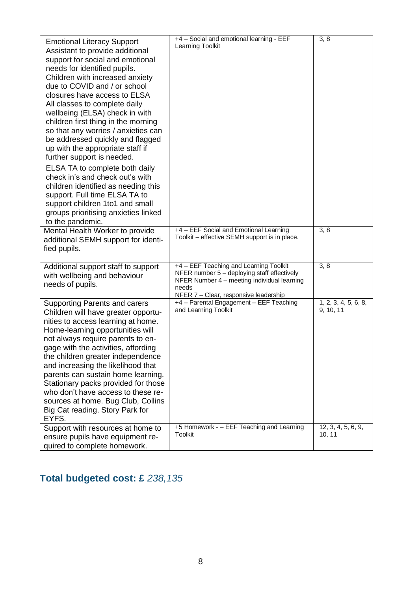| <b>Emotional Literacy Support</b><br>Assistant to provide additional<br>support for social and emotional<br>needs for identified pupils.<br>Children with increased anxiety<br>due to COVID and / or school<br>closures have access to ELSA<br>All classes to complete daily<br>wellbeing (ELSA) check in with<br>children first thing in the morning<br>so that any worries / anxieties can<br>be addressed quickly and flagged<br>up with the appropriate staff if<br>further support is needed.<br>ELSA TA to complete both daily<br>check in's and check out's with<br>children identified as needing this<br>support. Full time ELSA TA to<br>support children 1to1 and small<br>groups prioritising anxieties linked<br>to the pandemic. | +4 - Social and emotional learning - EEF<br>Learning Toolkit                                                                                                                           | 3, 8                              |
|------------------------------------------------------------------------------------------------------------------------------------------------------------------------------------------------------------------------------------------------------------------------------------------------------------------------------------------------------------------------------------------------------------------------------------------------------------------------------------------------------------------------------------------------------------------------------------------------------------------------------------------------------------------------------------------------------------------------------------------------|----------------------------------------------------------------------------------------------------------------------------------------------------------------------------------------|-----------------------------------|
| Mental Health Worker to provide<br>additional SEMH support for identi-<br>fied pupils.                                                                                                                                                                                                                                                                                                                                                                                                                                                                                                                                                                                                                                                         | +4 - EEF Social and Emotional Learning<br>Toolkit - effective SEMH support is in place.                                                                                                | 3, 8                              |
| Additional support staff to support<br>with wellbeing and behaviour<br>needs of pupils.                                                                                                                                                                                                                                                                                                                                                                                                                                                                                                                                                                                                                                                        | +4 - EEF Teaching and Learning Toolkit<br>NFER number 5 - deploying staff effectively<br>NFER Number 4 - meeting individual learning<br>needs<br>NFER 7 - Clear, responsive leadership | 3, 8                              |
| <b>Supporting Parents and carers</b><br>Children will have greater opportu-<br>nities to access learning at home.<br>Home-learning opportunities will<br>not always require parents to en-<br>gage with the activities, affording<br>the children greater independence<br>and increasing the likelihood that<br>parents can sustain home learning.<br>Stationary packs provided for those<br>who don't have access to these re-<br>sources at home. Bug Club, Collins<br>Big Cat reading. Story Park for<br>EYFS.                                                                                                                                                                                                                              | +4 - Parental Engagement - EEF Teaching<br>and Learning Toolkit                                                                                                                        | 1, 2, 3, 4, 5, 6, 8,<br>9, 10, 11 |
| Support with resources at home to<br>ensure pupils have equipment re-<br>quired to complete homework.                                                                                                                                                                                                                                                                                                                                                                                                                                                                                                                                                                                                                                          | +5 Homework - - EEF Teaching and Learning<br>Toolkit                                                                                                                                   | 12, 3, 4, 5, 6, 9,<br>10, 11      |

# **Total budgeted cost: £** *238,135*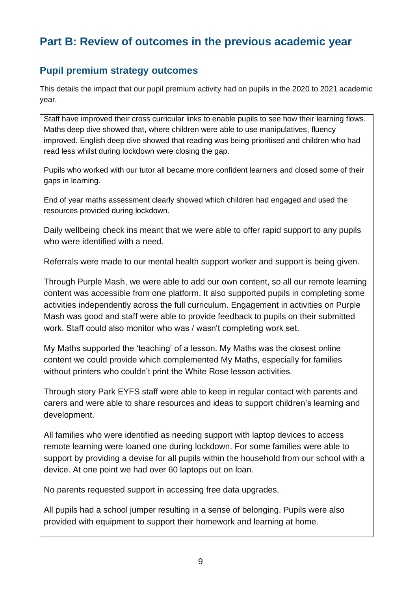## **Part B: Review of outcomes in the previous academic year**

#### **Pupil premium strategy outcomes**

This details the impact that our pupil premium activity had on pupils in the 2020 to 2021 academic year.

Staff have improved their cross curricular links to enable pupils to see how their learning flows. Maths deep dive showed that, where children were able to use manipulatives, fluency improved. English deep dive showed that reading was being prioritised and children who had read less whilst during lockdown were closing the gap.

Pupils who worked with our tutor all became more confident learners and closed some of their gaps in learning.

End of year maths assessment clearly showed which children had engaged and used the resources provided during lockdown.

Daily wellbeing check ins meant that we were able to offer rapid support to any pupils who were identified with a need.

Referrals were made to our mental health support worker and support is being given.

Through Purple Mash, we were able to add our own content, so all our remote learning content was accessible from one platform. It also supported pupils in completing some activities independently across the full curriculum. Engagement in activities on Purple Mash was good and staff were able to provide feedback to pupils on their submitted work. Staff could also monitor who was / wasn't completing work set.

My Maths supported the 'teaching' of a lesson. My Maths was the closest online content we could provide which complemented My Maths, especially for families without printers who couldn't print the White Rose lesson activities.

Through story Park EYFS staff were able to keep in regular contact with parents and carers and were able to share resources and ideas to support children's learning and development.

All families who were identified as needing support with laptop devices to access remote learning were loaned one during lockdown. For some families were able to support by providing a devise for all pupils within the household from our school with a device. At one point we had over 60 laptops out on loan.

No parents requested support in accessing free data upgrades.

All pupils had a school jumper resulting in a sense of belonging. Pupils were also provided with equipment to support their homework and learning at home.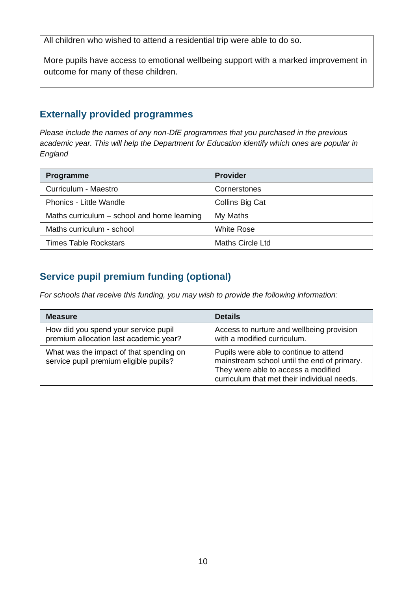All children who wished to attend a residential trip were able to do so.

More pupils have access to emotional wellbeing support with a marked improvement in outcome for many of these children.

### **Externally provided programmes**

*Please include the names of any non-DfE programmes that you purchased in the previous academic year. This will help the Department for Education identify which ones are popular in England*

| Programme                                   | <b>Provider</b>         |
|---------------------------------------------|-------------------------|
| Curriculum - Maestro                        | Cornerstones            |
| <b>Phonics - Little Wandle</b>              | Collins Big Cat         |
| Maths curriculum – school and home learning | My Maths                |
| Maths curriculum - school                   | <b>White Rose</b>       |
| <b>Times Table Rockstars</b>                | <b>Maths Circle Ltd</b> |

### **Service pupil premium funding (optional)**

*For schools that receive this funding, you may wish to provide the following information:* 

| <b>Measure</b>                                                                    | <b>Details</b>                                                                                                                                                              |
|-----------------------------------------------------------------------------------|-----------------------------------------------------------------------------------------------------------------------------------------------------------------------------|
| How did you spend your service pupil<br>premium allocation last academic year?    | Access to nurture and wellbeing provision<br>with a modified curriculum.                                                                                                    |
| What was the impact of that spending on<br>service pupil premium eligible pupils? | Pupils were able to continue to attend<br>mainstream school until the end of primary.<br>They were able to access a modified<br>curriculum that met their individual needs. |